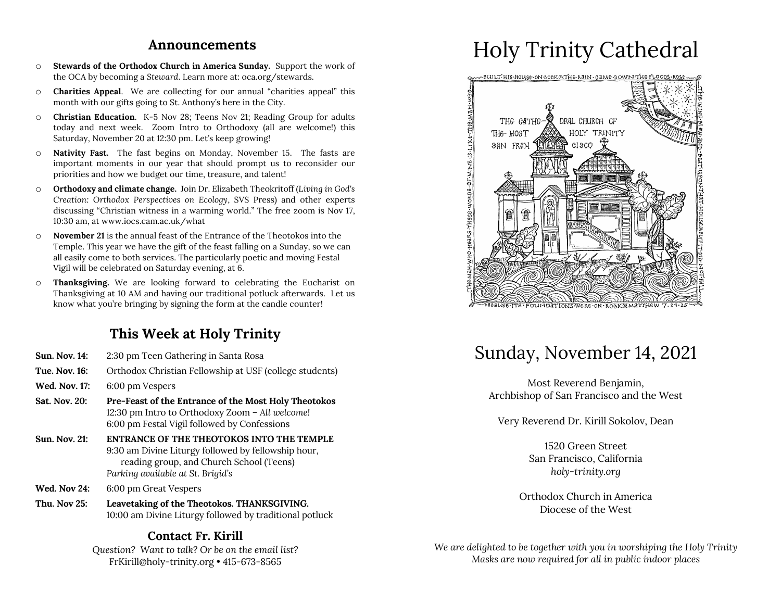### **Announcements**

- o **Stewards of the Orthodox Church in America Sunday.** Support the work of the OCA by becoming a *Steward*. Learn more at: oca.org/stewards.
- o **Charities Appeal**. We are collecting for our annual "charities appeal" this month with our gifts going to St. Anthony's here in the City.
- o **Christian Education**. K-5 Nov 28; Teens Nov 21; Reading Group for adults today and next week. Zoom Intro to Orthodoxy (all are welcome!) this Saturday, November 20 at 12:30 pm. Let's keep growing!
- o **Nativity Fast.** The fast begins on Monday, November 15. The fasts are important moments in our year that should prompt us to reconsider our priorities and how we budget our time, treasure, and talent!
- o **Orthodoxy and climate change.** Join Dr. Elizabeth Theokritoff (*Living in God's Creation: Orthodox Perspectives on Ecology*, SVS Press) and other experts discussing "Christian witness in a warming world." The free zoom is Nov 17, 10:30 am, at www.iocs.cam.ac.uk/what
- o **November 21** is the annual feast of the Entrance of the Theotokos into the Temple. This year we have the gift of the feast falling on a Sunday, so we can all easily come to both services. The particularly poetic and moving Festal Vigil will be celebrated on Saturday evening, at 6.
- o **Thanksgiving.** We are looking forward to celebrating the Eucharist on Thanksgiving at 10 AM and having our traditional potluck afterwards. Let us know what you're bringing by signing the form at the candle counter!

## **This Week at Holy Trinity**

- **Sun. Nov. 14:** 2:30 pm Teen Gathering in Santa Rosa
- **Tue. Nov. 16:** Orthodox Christian Fellowship at USF (college students)
- **Wed. Nov. 17:** 6:00 pm Vespers
- **Sat. Nov. 20: Pre-Feast of the Entrance of the Most Holy Theotokos** 12:30 pm Intro to Orthodoxy Zoom – *All welcome!* 6:00 pm Festal Vigil followed by Confessions
- **Sun. Nov. 21: ENTRANCE OF THE THEOTOKOS INTO THE TEMPLE** 9:30 am Divine Liturgy followed by fellowship hour, reading group, and Church School (Teens) *Parking available at St. Brigid's*
- **Wed. Nov 24:** 6:00 pm Great Vespers
- **Thu. Nov 25: Leavetaking of the Theotokos. THANKSGIVING.** 10:00 am Divine Liturgy followed by traditional potluck

### **Contact Fr. Kirill**

*Question? Want to talk? Or be on the email list?* FrKirill@holy-trinity.org • 415-673-8565

# Holy Trinity Cathedral



# Sunday, November 14, 2021

Most Reverend Benjamin, Archbishop of San Francisco and the West

Very Reverend Dr. Kirill Sokolov, Dean

1520 Green Street San Francisco, California *holy-trinity.org*

Orthodox Church in America Diocese of the West

*We are delighted to be together with you in worshiping the Holy Trinity Masks are now required for all in public indoor places*